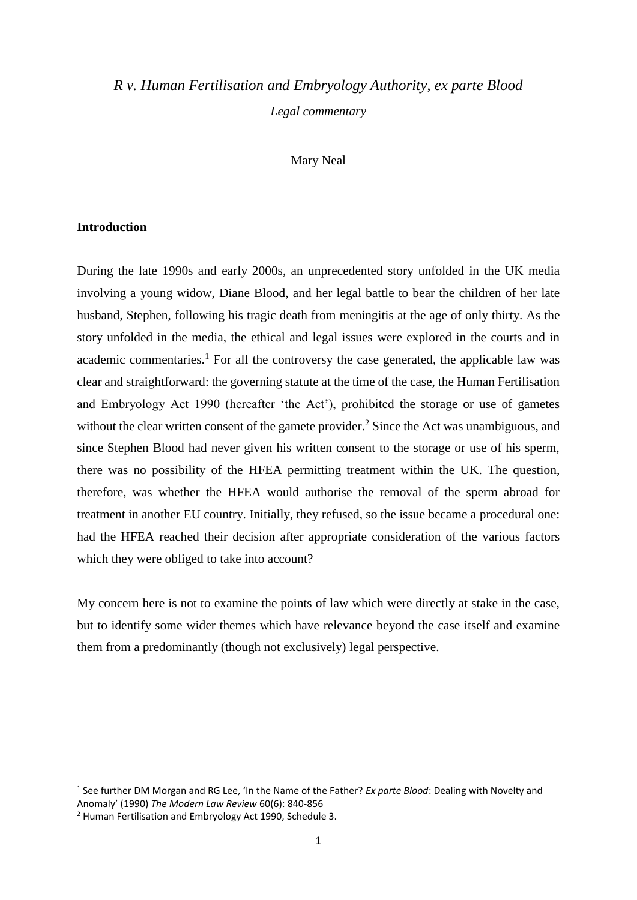# *R v. Human Fertilisation and Embryology Authority, ex parte Blood Legal commentary*

# Mary Neal

# **Introduction**

During the late 1990s and early 2000s, an unprecedented story unfolded in the UK media involving a young widow, Diane Blood, and her legal battle to bear the children of her late husband, Stephen, following his tragic death from meningitis at the age of only thirty. As the story unfolded in the media, the ethical and legal issues were explored in the courts and in academic commentaries.<sup>1</sup> For all the controversy the case generated, the applicable law was clear and straightforward: the governing statute at the time of the case, the Human Fertilisation and Embryology Act 1990 (hereafter 'the Act'), prohibited the storage or use of gametes without the clear written consent of the gamete provider.<sup>2</sup> Since the Act was unambiguous, and since Stephen Blood had never given his written consent to the storage or use of his sperm, there was no possibility of the HFEA permitting treatment within the UK. The question, therefore, was whether the HFEA would authorise the removal of the sperm abroad for treatment in another EU country. Initially, they refused, so the issue became a procedural one: had the HFEA reached their decision after appropriate consideration of the various factors which they were obliged to take into account?

My concern here is not to examine the points of law which were directly at stake in the case, but to identify some wider themes which have relevance beyond the case itself and examine them from a predominantly (though not exclusively) legal perspective.

<sup>&</sup>lt;sup>1</sup> See further DM Morgan and RG Lee, 'In the Name of the Father? *Ex parte Blood*: Dealing with Novelty and Anomaly' (1990) *The Modern Law Review* 60(6): 840-856

<sup>2</sup> Human Fertilisation and Embryology Act 1990, Schedule 3.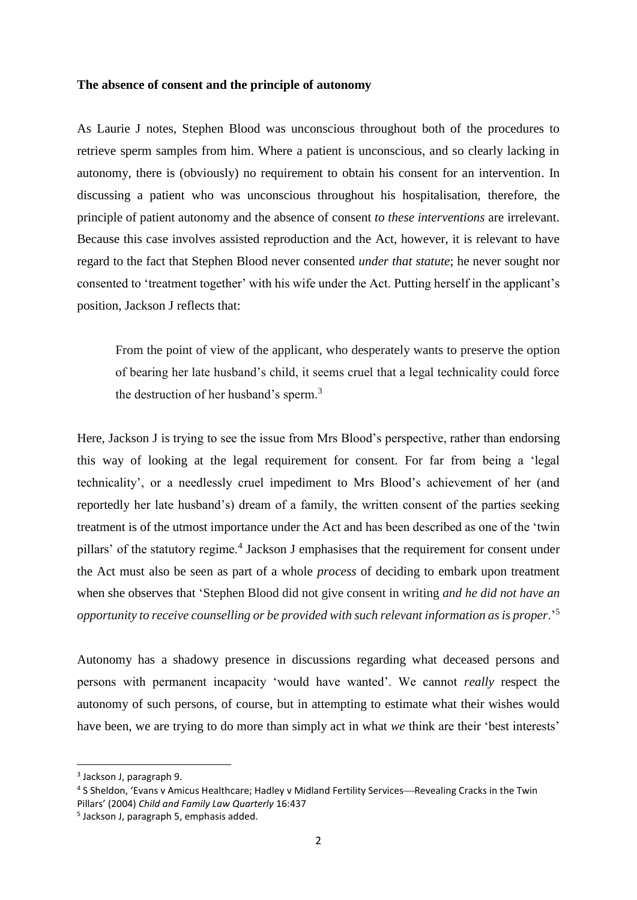#### **The absence of consent and the principle of autonomy**

As Laurie J notes, Stephen Blood was unconscious throughout both of the procedures to retrieve sperm samples from him. Where a patient is unconscious, and so clearly lacking in autonomy, there is (obviously) no requirement to obtain his consent for an intervention. In discussing a patient who was unconscious throughout his hospitalisation, therefore, the principle of patient autonomy and the absence of consent *to these interventions* are irrelevant. Because this case involves assisted reproduction and the Act, however, it is relevant to have regard to the fact that Stephen Blood never consented *under that statute*; he never sought nor consented to 'treatment together' with his wife under the Act. Putting herself in the applicant's position, Jackson J reflects that:

From the point of view of the applicant, who desperately wants to preserve the option of bearing her late husband's child, it seems cruel that a legal technicality could force the destruction of her husband's sperm.<sup>3</sup>

Here, Jackson J is trying to see the issue from Mrs Blood's perspective, rather than endorsing this way of looking at the legal requirement for consent. For far from being a 'legal technicality', or a needlessly cruel impediment to Mrs Blood's achievement of her (and reportedly her late husband's) dream of a family, the written consent of the parties seeking treatment is of the utmost importance under the Act and has been described as one of the 'twin pillars' of the statutory regime.<sup>4</sup> Jackson J emphasises that the requirement for consent under the Act must also be seen as part of a whole *process* of deciding to embark upon treatment when she observes that 'Stephen Blood did not give consent in writing *and he did not have an opportunity to receive counselling or be provided with such relevant information as is proper*.'<sup>5</sup>

Autonomy has a shadowy presence in discussions regarding what deceased persons and persons with permanent incapacity 'would have wanted'. We cannot *really* respect the autonomy of such persons, of course, but in attempting to estimate what their wishes would have been, we are trying to do more than simply act in what *we* think are their 'best interests'

<sup>&</sup>lt;sup>3</sup> Jackson J, paragraph 9.

<sup>&</sup>lt;sup>4</sup> S Sheldon, 'Evans v Amicus Healthcare; Hadley v Midland Fertility Services—Revealing Cracks in the Twin Pillars' (2004) *Child and Family Law Quarterly* 16:437

<sup>5</sup> Jackson J, paragraph 5, emphasis added.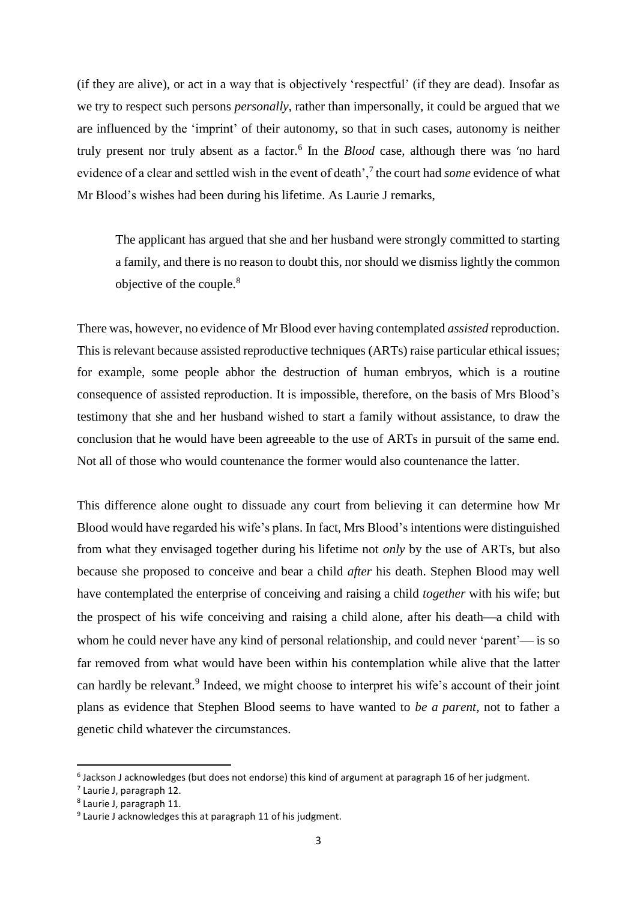(if they are alive), or act in a way that is objectively 'respectful' (if they are dead). Insofar as we try to respect such persons *personally*, rather than impersonally, it could be argued that we are influenced by the 'imprint' of their autonomy, so that in such cases, autonomy is neither truly present nor truly absent as a factor.<sup>6</sup> In the *Blood* case, although there was 'no hard evidence of a clear and settled wish in the event of death',<sup>7</sup> the court had *some* evidence of what Mr Blood's wishes had been during his lifetime. As Laurie J remarks,

The applicant has argued that she and her husband were strongly committed to starting a family, and there is no reason to doubt this, nor should we dismiss lightly the common objective of the couple.<sup>8</sup>

There was, however, no evidence of Mr Blood ever having contemplated *assisted* reproduction. This is relevant because assisted reproductive techniques (ARTs) raise particular ethical issues; for example, some people abhor the destruction of human embryos, which is a routine consequence of assisted reproduction. It is impossible, therefore, on the basis of Mrs Blood's testimony that she and her husband wished to start a family without assistance, to draw the conclusion that he would have been agreeable to the use of ARTs in pursuit of the same end. Not all of those who would countenance the former would also countenance the latter.

This difference alone ought to dissuade any court from believing it can determine how Mr Blood would have regarded his wife's plans. In fact, Mrs Blood's intentions were distinguished from what they envisaged together during his lifetime not *only* by the use of ARTs, but also because she proposed to conceive and bear a child *after* his death. Stephen Blood may well have contemplated the enterprise of conceiving and raising a child *together* with his wife; but the prospect of his wife conceiving and raising a child alone, after his death—a child with whom he could never have any kind of personal relationship, and could never 'parent'— is so far removed from what would have been within his contemplation while alive that the latter can hardly be relevant.<sup>9</sup> Indeed, we might choose to interpret his wife's account of their joint plans as evidence that Stephen Blood seems to have wanted to *be a parent*, not to father a genetic child whatever the circumstances.

<sup>6</sup> Jackson J acknowledges (but does not endorse) this kind of argument at paragraph 16 of her judgment.

<sup>&</sup>lt;sup>7</sup> Laurie J, paragraph 12.

<sup>8</sup> Laurie J, paragraph 11.

<sup>&</sup>lt;sup>9</sup> Laurie J acknowledges this at paragraph 11 of his judgment.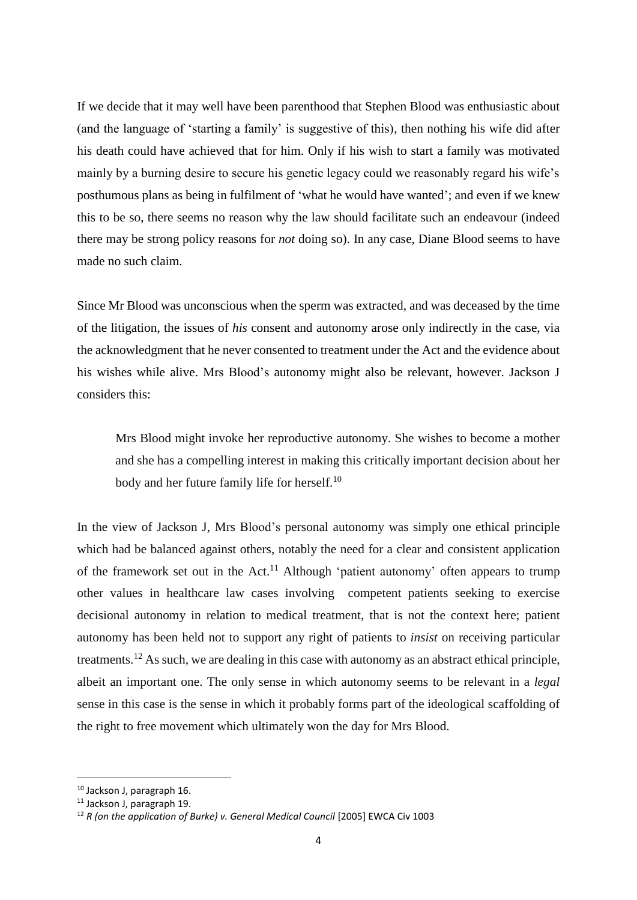If we decide that it may well have been parenthood that Stephen Blood was enthusiastic about (and the language of 'starting a family' is suggestive of this), then nothing his wife did after his death could have achieved that for him. Only if his wish to start a family was motivated mainly by a burning desire to secure his genetic legacy could we reasonably regard his wife's posthumous plans as being in fulfilment of 'what he would have wanted'; and even if we knew this to be so, there seems no reason why the law should facilitate such an endeavour (indeed there may be strong policy reasons for *not* doing so). In any case, Diane Blood seems to have made no such claim.

Since Mr Blood was unconscious when the sperm was extracted, and was deceased by the time of the litigation, the issues of *his* consent and autonomy arose only indirectly in the case, via the acknowledgment that he never consented to treatment under the Act and the evidence about his wishes while alive. Mrs Blood's autonomy might also be relevant, however. Jackson J considers this:

Mrs Blood might invoke her reproductive autonomy. She wishes to become a mother and she has a compelling interest in making this critically important decision about her body and her future family life for herself.<sup>10</sup>

In the view of Jackson J, Mrs Blood's personal autonomy was simply one ethical principle which had be balanced against others, notably the need for a clear and consistent application of the framework set out in the Act.<sup>11</sup> Although 'patient autonomy' often appears to trump other values in healthcare law cases involving competent patients seeking to exercise decisional autonomy in relation to medical treatment, that is not the context here; patient autonomy has been held not to support any right of patients to *insist* on receiving particular treatments.<sup>12</sup> As such, we are dealing in this case with autonomy as an abstract ethical principle, albeit an important one. The only sense in which autonomy seems to be relevant in a *legal* sense in this case is the sense in which it probably forms part of the ideological scaffolding of the right to free movement which ultimately won the day for Mrs Blood.

<sup>10</sup> Jackson J, paragraph 16.

<sup>11</sup> Jackson J, paragraph 19.

<sup>12</sup> *R (on the application of Burke) v. General Medical Council* [2005] EWCA Civ 1003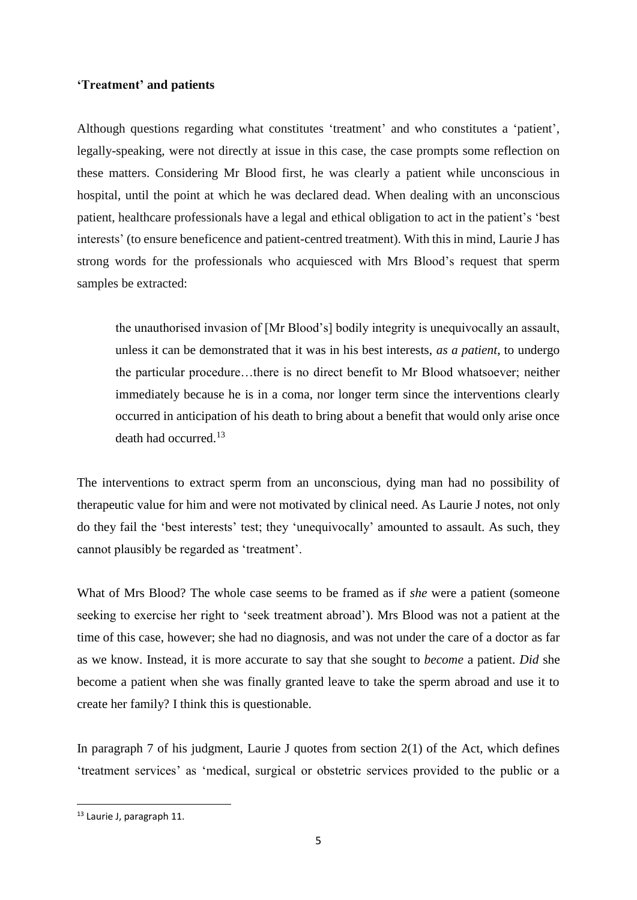# **'Treatment' and patients**

Although questions regarding what constitutes 'treatment' and who constitutes a 'patient', legally-speaking, were not directly at issue in this case, the case prompts some reflection on these matters. Considering Mr Blood first, he was clearly a patient while unconscious in hospital, until the point at which he was declared dead. When dealing with an unconscious patient, healthcare professionals have a legal and ethical obligation to act in the patient's 'best interests' (to ensure beneficence and patient-centred treatment). With this in mind, Laurie J has strong words for the professionals who acquiesced with Mrs Blood's request that sperm samples be extracted:

the unauthorised invasion of [Mr Blood's] bodily integrity is unequivocally an assault, unless it can be demonstrated that it was in his best interests, *as a patient*, to undergo the particular procedure…there is no direct benefit to Mr Blood whatsoever; neither immediately because he is in a coma, nor longer term since the interventions clearly occurred in anticipation of his death to bring about a benefit that would only arise once death had occurred.<sup>13</sup>

The interventions to extract sperm from an unconscious, dying man had no possibility of therapeutic value for him and were not motivated by clinical need. As Laurie J notes, not only do they fail the 'best interests' test; they 'unequivocally' amounted to assault. As such, they cannot plausibly be regarded as 'treatment'.

What of Mrs Blood? The whole case seems to be framed as if *she* were a patient (someone seeking to exercise her right to 'seek treatment abroad'). Mrs Blood was not a patient at the time of this case, however; she had no diagnosis, and was not under the care of a doctor as far as we know. Instead, it is more accurate to say that she sought to *become* a patient. *Did* she become a patient when she was finally granted leave to take the sperm abroad and use it to create her family? I think this is questionable.

In paragraph 7 of his judgment, Laurie J quotes from section  $2(1)$  of the Act, which defines 'treatment services' as 'medical, surgical or obstetric services provided to the public or a

<sup>13</sup> Laurie J, paragraph 11.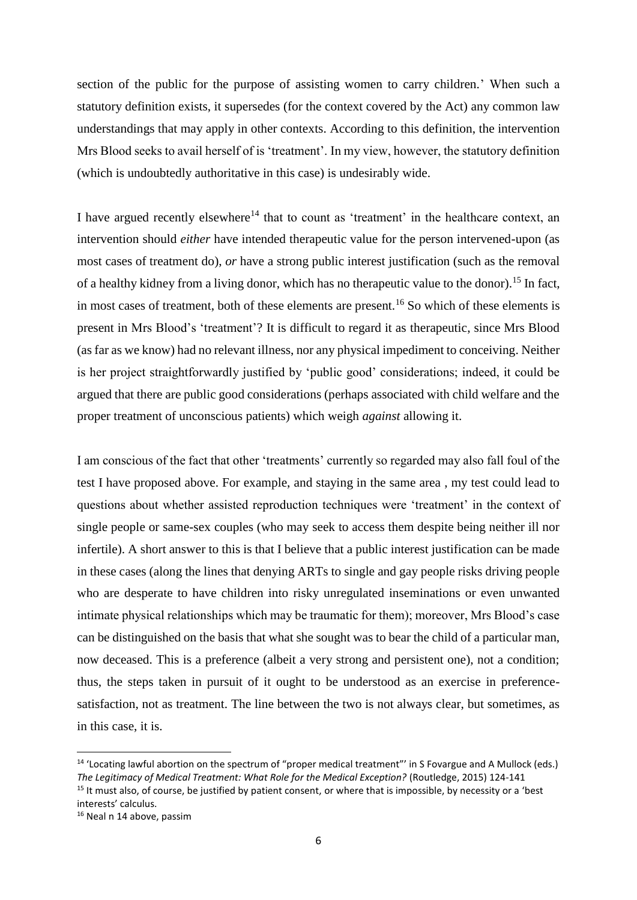section of the public for the purpose of assisting women to carry children.' When such a statutory definition exists, it supersedes (for the context covered by the Act) any common law understandings that may apply in other contexts. According to this definition, the intervention Mrs Blood seeks to avail herself of is 'treatment'. In my view, however, the statutory definition (which is undoubtedly authoritative in this case) is undesirably wide.

I have argued recently elsewhere<sup>14</sup> that to count as 'treatment' in the healthcare context, an intervention should *either* have intended therapeutic value for the person intervened-upon (as most cases of treatment do), *or* have a strong public interest justification (such as the removal of a healthy kidney from a living donor, which has no therapeutic value to the donor).<sup>15</sup> In fact, in most cases of treatment, both of these elements are present.<sup>16</sup> So which of these elements is present in Mrs Blood's 'treatment'? It is difficult to regard it as therapeutic, since Mrs Blood (as far as we know) had no relevant illness, nor any physical impediment to conceiving. Neither is her project straightforwardly justified by 'public good' considerations; indeed, it could be argued that there are public good considerations (perhaps associated with child welfare and the proper treatment of unconscious patients) which weigh *against* allowing it.

I am conscious of the fact that other 'treatments' currently so regarded may also fall foul of the test I have proposed above. For example, and staying in the same area , my test could lead to questions about whether assisted reproduction techniques were 'treatment' in the context of single people or same-sex couples (who may seek to access them despite being neither ill nor infertile). A short answer to this is that I believe that a public interest justification can be made in these cases (along the lines that denying ARTs to single and gay people risks driving people who are desperate to have children into risky unregulated inseminations or even unwanted intimate physical relationships which may be traumatic for them); moreover, Mrs Blood's case can be distinguished on the basis that what she sought was to bear the child of a particular man, now deceased. This is a preference (albeit a very strong and persistent one), not a condition; thus, the steps taken in pursuit of it ought to be understood as an exercise in preferencesatisfaction, not as treatment. The line between the two is not always clear, but sometimes, as in this case, it is.

 $\overline{\phantom{a}}$ 

<sup>&</sup>lt;sup>14</sup> 'Locating lawful abortion on the spectrum of "proper medical treatment"' in S Fovargue and A Mullock (eds.) *The Legitimacy of Medical Treatment: What Role for the Medical Exception?* (Routledge, 2015) 124-141

 $15$  It must also, of course, be justified by patient consent, or where that is impossible, by necessity or a 'best interests' calculus.

<sup>16</sup> Neal n 14 above, passim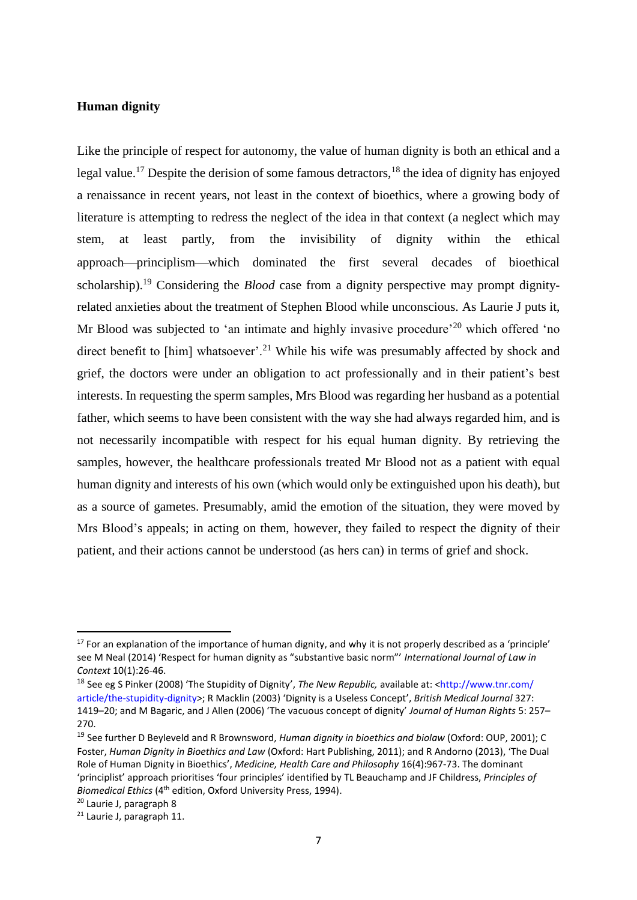#### **Human dignity**

Like the principle of respect for autonomy, the value of human dignity is both an ethical and a legal value.<sup>17</sup> Despite the derision of some famous detractors,<sup>18</sup> the idea of dignity has enjoyed a renaissance in recent years, not least in the context of bioethics, where a growing body of literature is attempting to redress the neglect of the idea in that context (a neglect which may stem, at least partly, from the invisibility of dignity within the ethical approach-principlism-which dominated the first several decades of bioethical scholarship).<sup>19</sup> Considering the *Blood* case from a dignity perspective may prompt dignityrelated anxieties about the treatment of Stephen Blood while unconscious. As Laurie J puts it, Mr Blood was subjected to 'an intimate and highly invasive procedure'<sup>20</sup> which offered 'no direct benefit to [him] whatsoever'.<sup>21</sup> While his wife was presumably affected by shock and grief, the doctors were under an obligation to act professionally and in their patient's best interests. In requesting the sperm samples, Mrs Blood was regarding her husband as a potential father, which seems to have been consistent with the way she had always regarded him, and is not necessarily incompatible with respect for his equal human dignity. By retrieving the samples, however, the healthcare professionals treated Mr Blood not as a patient with equal human dignity and interests of his own (which would only be extinguished upon his death), but as a source of gametes. Presumably, amid the emotion of the situation, they were moved by Mrs Blood's appeals; in acting on them, however, they failed to respect the dignity of their patient, and their actions cannot be understood (as hers can) in terms of grief and shock.

<sup>&</sup>lt;sup>17</sup> For an explanation of the importance of human dignity, and why it is not properly described as a 'principle' see M Neal (2014) 'Respect for human dignity as "substantive basic norm"' *International Journal of Law in Context* 10(1):26-46.

<sup>18</sup> See eg S Pinker (2008) 'The Stupidity of Dignity', *The New Republic,* available at: <http://www.tnr.com/ article/the-stupidity-dignity>; R Macklin (2003) 'Dignity is a Useless Concept', *British Medical Journal* 327: 1419–20; and M Bagaric, and J Allen (2006) 'The vacuous concept of dignity' *Journal of Human Rights* 5: 257– 270.

<sup>19</sup> See further D Beyleveld and R Brownsword, *Human dignity in bioethics and biolaw* (Oxford: OUP, 2001); C Foster, *Human Dignity in Bioethics and Law* (Oxford: Hart Publishing, 2011); and R Andorno (2013), 'The Dual Role of Human Dignity in Bioethics', *Medicine, Health Care and Philosophy* 16(4):967-73. The dominant 'principlist' approach prioritises 'four principles' identified by TL Beauchamp and JF Childress, *Principles of Biomedical Ethics* (4th edition, Oxford University Press, 1994).

<sup>20</sup> Laurie J, paragraph 8

<sup>21</sup> Laurie J, paragraph 11.